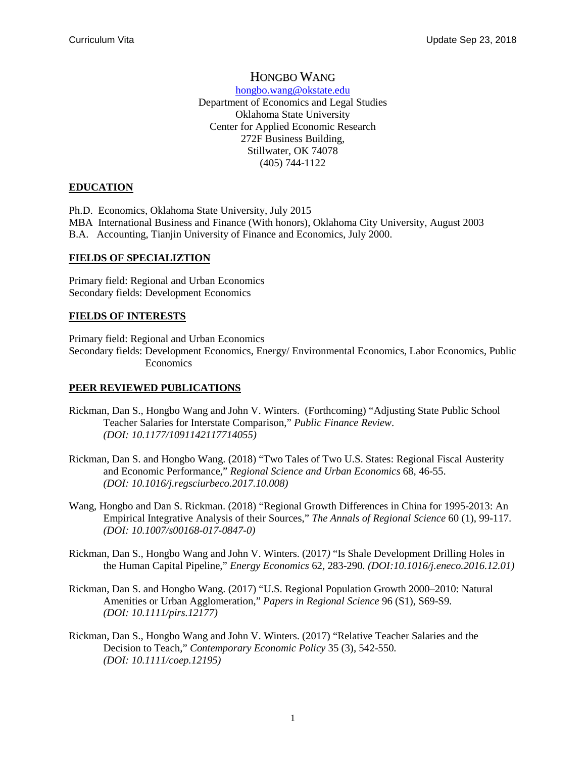# HONGBO WANG

[hongbo.wang@okstate.edu](mailto:hongbo.wang@okstate.edu) Department of Economics and Legal Studies Oklahoma State University Center for Applied Economic Research 272F Business Building, Stillwater, OK 74078 (405) 744-1122

### **EDUCATION**

Ph.D. Economics, Oklahoma State University, July 2015

MBA International Business and Finance (With honors), Oklahoma City University, August 2003

B.A. Accounting, Tianjin University of Finance and Economics, July 2000.

### **FIELDS OF SPECIALIZTION**

Primary field: Regional and Urban Economics Secondary fields: Development Economics

## **FIELDS OF INTERESTS**

Primary field: Regional and Urban Economics Secondary fields: Development Economics, Energy/ Environmental Economics, Labor Economics, Public Economics

## **PEER REVIEWED PUBLICATIONS**

- Rickman, Dan S., Hongbo Wang and John V. Winters. (Forthcoming) "Adjusting State Public School Teacher Salaries for Interstate Comparison," *Public Finance Review*. *(DOI: 10.1177/1091142117714055)*
- Rickman, Dan S. and Hongbo Wang. (2018) "Two Tales of Two U.S. States: Regional Fiscal Austerity and Economic Performance," *Regional Science and Urban Economics* 68, 46-55. *(DOI: 10.1016/j.regsciurbeco.2017.10.008)*
- Wang, Hongbo and Dan S. Rickman. (2018) "Regional Growth Differences in China for 1995-2013: An Empirical Integrative Analysis of their Sources," *The Annals of Regional Science* 60 (1), 99-117. *(DOI: 10.1007/s00168-017-0847-0)*
- Rickman, Dan S., Hongbo Wang and John V. Winters. (2017*)* "Is Shale Development Drilling Holes in the Human Capital Pipeline," *Energy Economics* 62*,* 283-290*. (DOI:10.1016/j.eneco.2016.12.01)*
- Rickman, Dan S. and Hongbo Wang. (2017) "U.S. Regional Population Growth 2000–2010: Natural Amenities or Urban Agglomeration," *Papers in Regional Science* 96 (S1)*,* S69-S9*. (DOI: 10.1111/pirs.12177)*
- Rickman, Dan S., Hongbo Wang and John V. Winters. (2017) "Relative Teacher Salaries and the Decision to Teach," *Contemporary Economic Policy* 35 (3), 542-550*. (DOI: 10.1111/coep.12195)*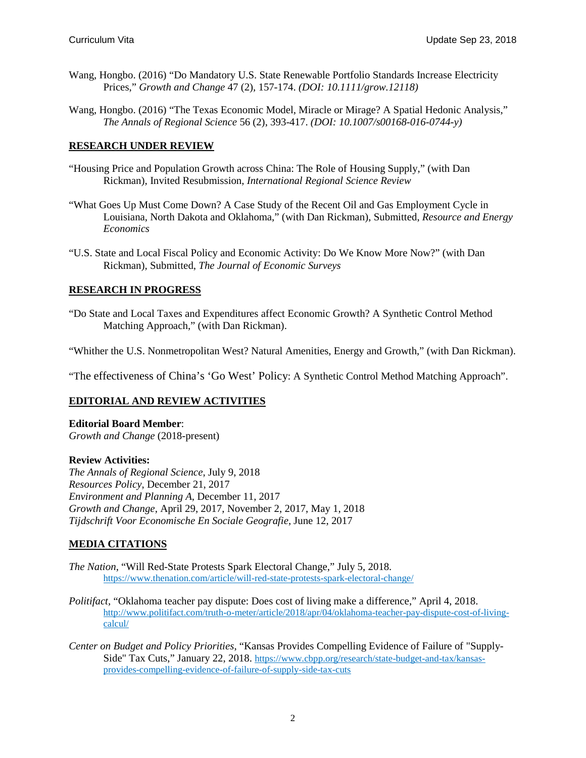- Wang, Hongbo. (2016) "Do Mandatory U.S. State Renewable Portfolio Standards Increase Electricity Prices," *Growth and Change* 47 (2), 157-174. *(DOI: 10.1111/grow.12118)*
- Wang, Hongbo. (2016) ["The Texas Economic Model, Miracle or Mirage? A Spatial Hedonic Analysis,](https://ideas.repec.org/p/pra/mprapa/66016.html)" *The Annals of Regional Science* 56 (2), 393-417. *(DOI: 10.1007/s00168-016-0744-y)*

#### **RESEARCH UNDER REVIEW**

- "Housing Price and Population Growth across China: The Role of Housing Supply," (with Dan Rickman), Invited Resubmission, *International Regional Science Review*
- "What Goes Up Must Come Down? A Case Study of the Recent Oil and Gas Employment Cycle in Louisiana, North Dakota and Oklahoma," (with Dan Rickman), Submitted, *Resource and Energy Economics*
- "U.S. State and Local Fiscal Policy and Economic Activity: Do We Know More Now?" (with Dan Rickman), Submitted, *The Journal of Economic Surveys*

#### **RESEARCH IN PROGRESS**

"Do State and Local Taxes and Expenditures affect Economic Growth? A Synthetic Control Method Matching Approach," (with Dan Rickman).

"Whither the U.S. Nonmetropolitan West? Natural Amenities, Energy and Growth," (with Dan Rickman).

"The effectiveness of China's 'Go West' Policy: A Synthetic Control Method Matching Approach".

#### **EDITORIAL AND REVIEW ACTIVITIES**

## **Editorial Board Member**:

*[Growth and Change](https://www.digitalmeasures.com/login/okstate/faculty/survey/maintainActivities/editRecord.do?instrumentId=86&userId=1626599&surveyDataId=75812898&nodeId=65642&searchView=screen&searchQuery=&ownerId=1626599&_s=0)* (2018-present)

#### **Review Activities:**

*The Annals of Regional Science*, July 9, 2018 *[Resources Policy](https://www.digitalmeasures.com/login/okstate/faculty/survey/maintainActivities/editRecord.do?instrumentId=86&userId=1626599&surveyDataId=75812978&nodeId=65642&searchView=screen&searchQuery=&ownerId=1626599&_s=0)*, December 21, 2017 *Environment and Planning A*, December 11, 2017 *[Growth and Change](https://www.digitalmeasures.com/login/okstate/faculty/survey/maintainActivities/editRecord.do?instrumentId=86&userId=1626599&surveyDataId=75812898&nodeId=65642&searchView=screen&searchQuery=&ownerId=1626599&_s=0)*, April 29, 2017, November 2, 2017, May 1, 2018 *[Tijdschrift Voor Economische En Sociale Geografie](https://www.digitalmeasures.com/login/okstate/faculty/survey/maintainActivities/editRecord.do?instrumentId=86&userId=1626599&surveyDataId=75813029&nodeId=65642&searchView=screen&searchQuery=&ownerId=1626599&_s=0)*, June 12, 2017

#### **MEDIA CITATIONS**

- *The Nation*, "Will Red-State Protests Spark Electoral Change," July 5, 2018. https://www.thenation.com/article/will-red-state-protests-spark-electoral-change/
- *Politifact*, "Oklahoma teacher pay dispute: Does cost of living make a difference," April 4, 2018. [http://www.politifact.com/truth-o-meter/article/2018/apr/04/oklahoma-teacher-pay-dispute-cost-of-living](http://www.politifact.com/truth-o-meter/article/2018/apr/04/oklahoma-teacher-pay-dispute-cost-of-living-calcul/)[calcul/](http://www.politifact.com/truth-o-meter/article/2018/apr/04/oklahoma-teacher-pay-dispute-cost-of-living-calcul/)
- *Center on Budget and Policy Priorities*, "Kansas Provides Compelling Evidence of Failure of "Supply-Side" Tax Cuts," January 22, 2018. [https://www.cbpp.org/research/state-budget-and-tax/kansas](https://www.cbpp.org/research/state-budget-and-tax/kansas-provides-compelling-evidence-of-failure-of-supply-side-tax-cuts)[provides-compelling-evidence-of-failure-of-supply-side-tax-cuts](https://www.cbpp.org/research/state-budget-and-tax/kansas-provides-compelling-evidence-of-failure-of-supply-side-tax-cuts)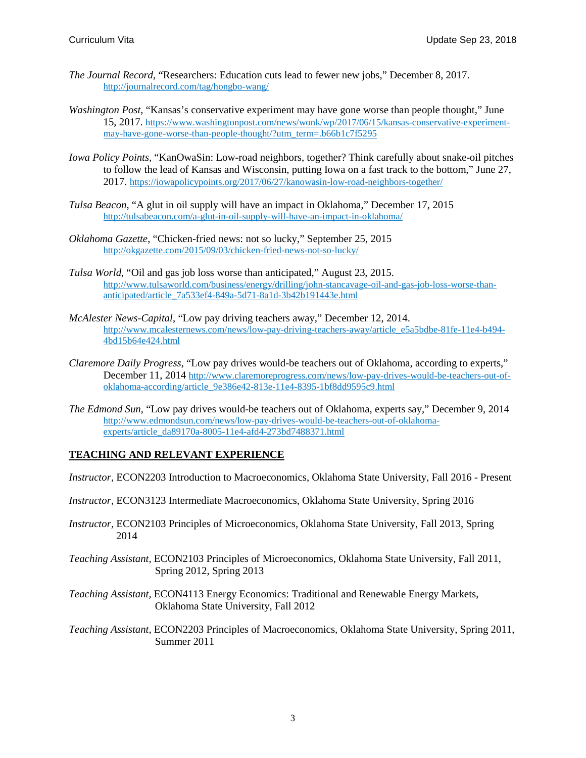- *The Journal Record*, "Researchers: Education cuts lead to fewer new jobs," December 8, 2017. <http://journalrecord.com/tag/hongbo-wang/>
- *Washington Post*, "Kansas's conservative experiment may have gone worse than people thought," June 15, 2017. [https://www.washingtonpost.com/news/wonk/wp/2017/06/15/kansas-conservative-experiment](https://www.washingtonpost.com/news/wonk/wp/2017/06/15/kansas-conservative-experiment-may-have-gone-worse-than-people-thought/?utm_term=.b66b1c7f5295)[may-have-gone-worse-than-people-thought/?utm\\_term=.b66b1c7f5295](https://www.washingtonpost.com/news/wonk/wp/2017/06/15/kansas-conservative-experiment-may-have-gone-worse-than-people-thought/?utm_term=.b66b1c7f5295)
- *Iowa Policy Points,* "KanOwaSin: Low-road neighbors, together? Think carefully about snake-oil pitches to follow the lead of Kansas and Wisconsin, putting Iowa on a fast track to the bottom," June 27, 2017.<https://iowapolicypoints.org/2017/06/27/kanowasin-low-road-neighbors-together/>
- *Tulsa Beacon*, "A glut in oil supply will have an impact in Oklahoma," December 17, 2015 <http://tulsabeacon.com/a-glut-in-oil-supply-will-have-an-impact-in-oklahoma/>
- *Oklahoma Gazette*, "Chicken-fried news: not so lucky," September 25, 2015 <http://okgazette.com/2015/09/03/chicken-fried-news-not-so-lucky/>
- *Tulsa World*, "Oil and gas job loss worse than anticipated," August 23, 2015. [http://www.tulsaworld.com/business/energy/drilling/john-stancavage-oil-and-gas-job-loss-worse-than](http://www.tulsaworld.com/business/energy/drilling/john-stancavage-oil-and-gas-job-loss-worse-than-anticipated/article_7a533ef4-849a-5d71-8a1d-3b42b191443e.html)[anticipated/article\\_7a533ef4-849a-5d71-8a1d-3b42b191443e.html](http://www.tulsaworld.com/business/energy/drilling/john-stancavage-oil-and-gas-job-loss-worse-than-anticipated/article_7a533ef4-849a-5d71-8a1d-3b42b191443e.html)
- *McAlester News-Capital*, "Low pay driving teachers away," December 12, 2014. [http://www.mcalesternews.com/news/low-pay-driving-teachers-away/article\\_e5a5bdbe-81fe-11e4-b494-](http://www.mcalesternews.com/news/low-pay-driving-teachers-away/article_e5a5bdbe-81fe-11e4-b494-4bd15b64e424.html) [4bd15b64e424.html](http://www.mcalesternews.com/news/low-pay-driving-teachers-away/article_e5a5bdbe-81fe-11e4-b494-4bd15b64e424.html)
- *[Claremore Daily Progress](http://www.claremoreprogress.com/)*, "Low pay drives would-be teachers out of Oklahoma, according to experts," December 11, 2014 [http://www.claremoreprogress.com/news/low-pay-drives-would-be-teachers-out-of](http://www.claremoreprogress.com/news/low-pay-drives-would-be-teachers-out-of-oklahoma-according/article_9e386e42-813e-11e4-8395-1bf8dd9595c9.html)[oklahoma-according/article\\_9e386e42-813e-11e4-8395-1bf8dd9595c9.html](http://www.claremoreprogress.com/news/low-pay-drives-would-be-teachers-out-of-oklahoma-according/article_9e386e42-813e-11e4-8395-1bf8dd9595c9.html)
- *The Edmond Sun*, "Low pay drives would-be teachers out of Oklahoma, experts say," December 9, 2014 [http://www.edmondsun.com/news/low-pay-drives-would-be-teachers-out-of-oklahoma](http://www.edmondsun.com/news/low-pay-drives-would-be-teachers-out-of-oklahoma-experts/article_da89170a-8005-11e4-afd4-273bd7488371.html)[experts/article\\_da89170a-8005-11e4-afd4-273bd7488371.html](http://www.edmondsun.com/news/low-pay-drives-would-be-teachers-out-of-oklahoma-experts/article_da89170a-8005-11e4-afd4-273bd7488371.html)

## **TEACHING AND RELEVANT EXPERIENCE**

*Instructor,* ECON2203 Introduction to Macroeconomics, Oklahoma State University, Fall 2016 - Present

- *Instructor,* ECON3123 Intermediate Macroeconomics, Oklahoma State University, Spring 2016
- *Instructor,* ECON2103 Principles of Microeconomics, Oklahoma State University, Fall 2013, Spring 2014
- *Teaching Assistant,* ECON2103 Principles of Microeconomics, Oklahoma State University, Fall 2011, Spring 2012, Spring 2013
- *Teaching Assistant,* ECON4113 Energy Economics: Traditional and Renewable Energy Markets, Oklahoma State University, Fall 2012
- *Teaching Assistant,* ECON2203 Principles of Macroeconomics, Oklahoma State University, Spring 2011, Summer 2011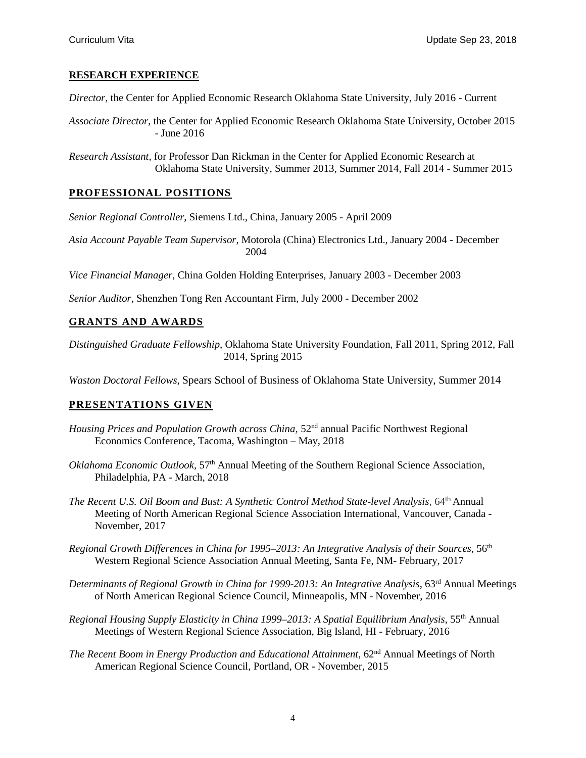### **RESEARCH EXPERIENCE**

*Director*, the Center for Applied Economic Research Oklahoma State University, July 2016 - Current

*Associate Director*, the Center for Applied Economic Research Oklahoma State University, October 2015 - June 2016

*Research Assistant,* for Professor Dan Rickman in the Center for Applied Economic Research at Oklahoma State University, Summer 2013, Summer 2014, Fall 2014 - Summer 2015

## **PROFESSIONAL POSITIONS**

*Senior Regional Controller*, Siemens Ltd., China, January 2005 - April 2009

*Asia Account Payable Team Supervisor*, Motorola (China) Electronics Ltd., January 2004 - December 2004

*Vice Financial Manager*, China Golden Holding Enterprises, January 2003 - December 2003

*Senior Auditor*, Shenzhen Tong Ren Accountant Firm, July 2000 - December 2002

### **GRANTS AND AWARDS**

*Distinguished Graduate Fellowship*, Oklahoma State University Foundation, Fall 2011, Spring 2012, Fall 2014, Spring 2015

*Waston Doctoral Fellows*, Spears School of Business of Oklahoma State University, Summer 2014

## **PRESENTATIONS GIVEN**

- *Housing Prices and [Population Growth across China,](http://images.wolfpk.com/pnrec/pdf/2018Session2_Wang&Rickman_Housing_Supply_(China).pdf)* 52<sup>nd</sup> annual Pacific Northwest Regional Economics Conference, Tacoma, Washington – May, 2018
- *Oklahoma Economic Outlook,* 57<sup>th</sup> Annual Meeting of the Southern Regional Science Association, Philadelphia, PA - March, 2018
- *The Recent U.S. Oil Boom and Bust: A Synthetic Control Method State-level Analysis*, 64th Annual Meeting of North American Regional Science Association International, Vancouver, Canada - November, 2017
- *Regional Growth Differences in China for 1995–2013: An Integrative Analysis of their Sources*, 56th Western Regional Science Association Annual Meeting, Santa Fe, NM- February, 2017
- *Determinants of Regional Growth in China for 1999-2013: An Integrative Analysis, 63<sup>rd</sup> Annual Meetings* of North American Regional Science Council, Minneapolis, MN - November, 2016
- *Regional Housing Supply Elasticity in China 1999–2013: A Spatial Equilibrium Analysis,* 55<sup>th</sup> Annual Meetings of Western Regional Science Association, Big Island, HI - February, 2016
- *The Recent Boom in Energy Production and Educational Attainment*, 62<sup>nd</sup> Annual Meetings of North American Regional Science Council, Portland, OR - November, 2015